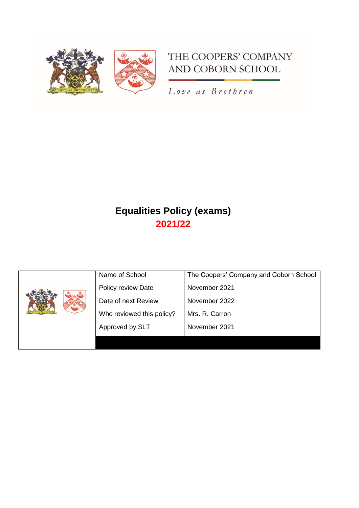

# THE COOPERS' COMPANY AND COBORN SCHOOL

Love as Brethren

# **Equalities Policy (exams) 2021/22**

| Name of School            | The Coopers' Company and Coborn School |
|---------------------------|----------------------------------------|
| Policy review Date        | November 2021                          |
| Date of next Review       | November 2022                          |
| Who reviewed this policy? | Mrs. R. Carron                         |
| Approved by SLT           | November 2021                          |
|                           |                                        |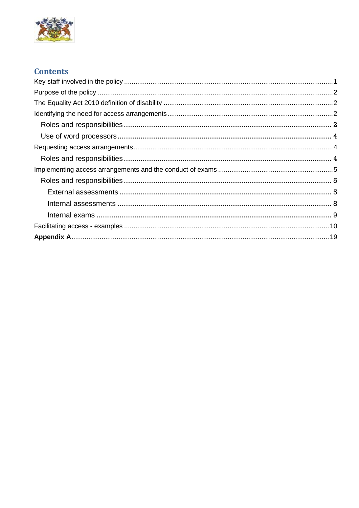

# **Contents**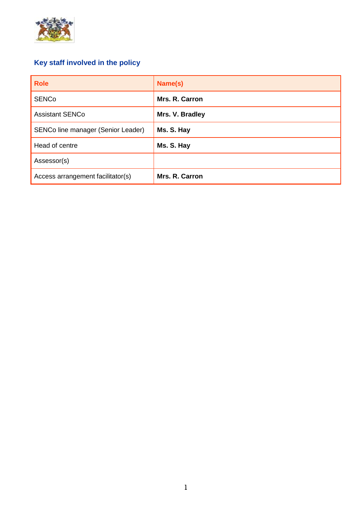

# <span id="page-2-0"></span>**Key staff involved in the policy**

| <b>Role</b>                        | Name(s)         |
|------------------------------------|-----------------|
| <b>SENCo</b>                       | Mrs. R. Carron  |
| <b>Assistant SENCo</b>             | Mrs. V. Bradley |
| SENCo line manager (Senior Leader) | Ms. S. Hay      |
| Head of centre                     | Ms. S. Hay      |
| Assessor(s)                        |                 |
| Access arrangement facilitator(s)  | Mrs. R. Carron  |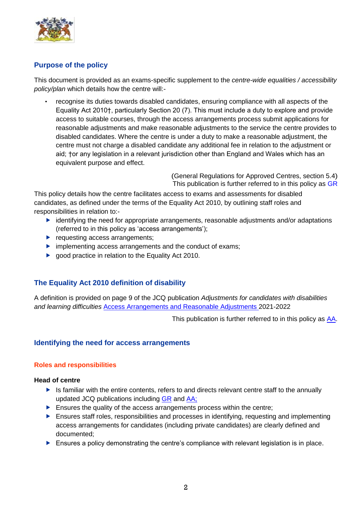

# <span id="page-3-0"></span>**Purpose of the policy**

This document is provided as an exams-specific supplement to the *centre-wide equalities / accessibility policy/plan* which details how the centre will:-

*•* recognise its duties towards disabled candidates, ensuring compliance with all aspects of the Equality Act 2010†, particularly Section 20 (7). This must include a duty to explore and provide access to suitable courses, through the access arrangements process submit applications for reasonable adjustments and make reasonable adjustments to the service the centre provides to disabled candidates. Where the centre is under a duty to make a reasonable adjustment, the centre must not charge a disabled candidate any additional fee in relation to the adjustment or aid; †or any legislation in a relevant jurisdiction other than England and Wales which has an equivalent purpose and effect.

> (General Regulations for Approved Centres, section 5.4) This publication is further referred to in this policy as [GR](http://www.jcq.org.uk/exams-office/general-regulations)

This policy details how the centre facilitates access to exams and assessments for disabled candidates, as defined under the terms of the Equality Act 2010, by outlining staff roles and responsibilities in relation to:-

- $\blacktriangleright$  identifying the need for appropriate arrangements, reasonable adjustments and/or adaptations (referred to in this policy as 'access arrangements');
- $\blacktriangleright$  requesting access arrangements;
- **Indementing access arrangements and the conduct of exams;**
- ▶ good practice in relation to the Equality Act 2010.

# <span id="page-3-1"></span>**The Equality Act 2010 definition of disability**

A definition is provided on page 9 of the JCQ publication *Adjustments for candidates with disabilities and learning difficulties* [Access Arrangements and Reasonable Adjustments](http://www.jcq.org.uk/exams-office/access-arrangements-and-special-consideration/regulations-and-guidance) 2021-2022

This publication is further referred to in this policy as [AA.](http://www.jcq.org.uk/exams-office/access-arrangements-and-special-consideration/regulations-and-guidance)

# <span id="page-3-2"></span>**Identifying the need for access arrangements**

#### <span id="page-3-3"></span>**Roles and responsibilities**

#### **Head of centre**

- Is familiar with the entire contents, refers to and directs relevant centre staff to the annually updated JCQ publications including [GR](http://www.jcq.org.uk/exams-office/general-regulations) and [AA;](http://www.jcq.org.uk/exams-office/access-arrangements-and-special-consideration/regulations-and-guidance)
- $\blacktriangleright$  Ensures the quality of the access arrangements process within the centre;
- Ensures staff roles, responsibilities and processes in identifying, requesting and implementing access arrangements for candidates (including private candidates) are clearly defined and documented;
- Ensures a policy demonstrating the centre's compliance with relevant legislation is in place.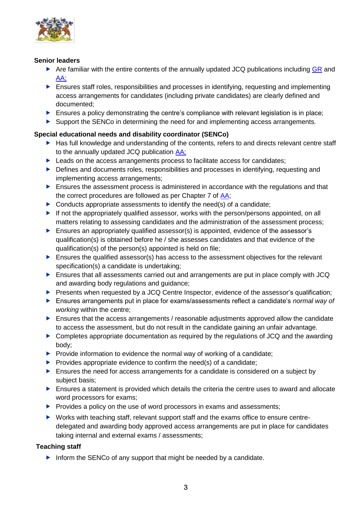

### **Senior leaders**

- Are familiar with the entire contents of the annually updated JCQ publications including  $GR$  and [AA;](http://www.jcq.org.uk/exams-office/access-arrangements-and-special-consideration/regulations-and-guidance)
- Ensures staff roles, responsibilities and processes in identifying, requesting and implementing access arrangements for candidates (including private candidates) are clearly defined and documented;
- $\blacktriangleright$  Ensures a policy demonstrating the centre's compliance with relevant legislation is in place;
- Support the SENCo in determining the need for and implementing access arrangements.

# **Special educational needs and disability coordinator (SENCo)**

- ▶ Has full knowledge and understanding of the contents, refers to and directs relevant centre staff to the annually updated JCQ publication [AA;](http://www.jcq.org.uk/exams-office/access-arrangements-and-special-consideration/regulations-and-guidance)
- ▶ Leads on the access arrangements process to facilitate access for candidates;
- ▶ Defines and documents roles, responsibilities and processes in identifying, requesting and implementing access arrangements;
- Ensures the assessment process is administered in accordance with the regulations and that the correct procedures are followed as per Chapter 7 of [AA;](http://www.jcq.org.uk/exams-office/access-arrangements-and-special-consideration/regulations-and-guidance)
- $\triangleright$  Conducts appropriate assessments to identify the need(s) of a candidate:
- If not the appropriately qualified assessor, works with the person/persons appointed, on all matters relating to assessing candidates and the administration of the assessment process;
- Ensures an appropriately qualified assessor(s) is appointed, evidence of the assessor's qualification(s) is obtained before he / she assesses candidates and that evidence of the qualification(s) of the person(s) appointed is held on file;
- Ensures the qualified assessor(s) has access to the assessment objectives for the relevant specification(s) a candidate is undertaking;
- Ensures that all assessments carried out and arrangements are put in place comply with JCQ and awarding body regulations and guidance;
- Presents when requested by a JCQ Centre Inspector, evidence of the assessor's qualification;
- Ensures arrangements put in place for exams/assessments reflect a candidate's *normal way of working* within the centre;
- Ensures that the access arrangements / reasonable adjustments approved allow the candidate to access the assessment, but do not result in the candidate gaining an unfair advantage.
- ▶ Completes appropriate documentation as required by the regulations of JCQ and the awarding body;
- $\blacktriangleright$  Provide information to evidence the normal way of working of a candidate;
- $\blacktriangleright$  Provides appropriate evidence to confirm the need(s) of a candidate;
- Ensures the need for access arrangements for a candidate is considered on a subject by subject basis;
- Ensures a statement is provided which details the criteria the centre uses to award and allocate word processors for exams;
- $\blacktriangleright$  Provides a policy on the use of word processors in exams and assessments;
- ▶ Works with teaching staff, relevant support staff and the exams office to ensure centredelegated and awarding body approved access arrangements are put in place for candidates taking internal and external exams / assessments;

# **Teaching staff**

Inform the SENCo of any support that might be needed by a candidate.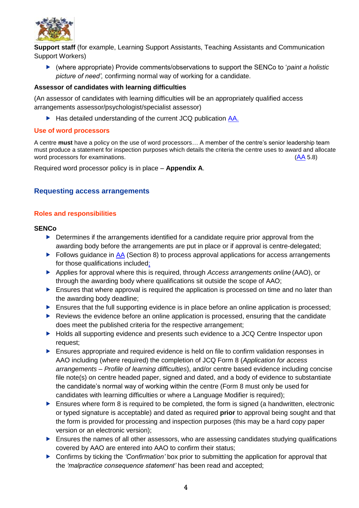

**Support staff** (for example, Learning Support Assistants, Teaching Assistants and Communication Support Workers)

 (where appropriate) Provide comments/observations to support the SENCo to '*paint a holistic picture of need',* confirming normal way of working for a candidate.

#### **Assessor of candidates with learning difficulties**

(An assessor of candidates with learning difficulties will be an appropriately qualified access arrangements assessor/psychologist/specialist assessor)

▶ Has detailed understanding of the current JCQ publication [AA.](http://www.jcq.org.uk/exams-office/access-arrangements-and-special-consideration/regulations-and-guidance)

#### <span id="page-5-0"></span>**Use of word processors**

A centre **must** have a policy on the use of word processors… A member of the centre's senior leadership team must produce a statement for inspection purposes which details the criteria the centre uses to award and allocate word processors for examinations. ([AA](http://www.jcq.org.uk/exams-office/access-arrangements-and-special-consideration/regulations-and-guidance) 5.8)

Required word processor policy is in place – **Appendix A**.

# <span id="page-5-1"></span>**Requesting access arrangements**

#### <span id="page-5-2"></span>**Roles and responsibilities**

#### **SENCo**

- Determines if the arrangements identified for a candidate require prior approval from the awarding body before the arrangements are put in place or if approval is centre-delegated;
- Follows guidance in  $\overline{AA}$  (Section 8) to process approval applications for access arrangements for those qualifications included;
- Applies for approval where this is required, through *Access arrangements online* (AAO), or through the awarding body where qualifications sit outside the scope of AAO;
- Ensures that where approval is required the application is processed on time and no later than the awarding body deadline;
- $\blacktriangleright$  Ensures that the full supporting evidence is in place before an online application is processed;
- ▶ Reviews the evidence before an online application is processed, ensuring that the candidate does meet the published criteria for the respective arrangement;
- ▶ Holds all supporting evidence and presents such evidence to a JCQ Centre Inspector upon request;
- Ensures appropriate and required evidence is held on file to confirm validation responses in AAO including (where required) the completion of JCQ Form 8 (*Application for access arrangements – Profile of learning difficulties*), and/or centre based evidence including concise file note(s) on centre headed paper, signed and dated, and a body of evidence to substantiate the candidate's normal way of working within the centre (Form 8 must only be used for candidates with learning difficulties or where a Language Modifier is required);
- Ensures where form 8 is required to be completed, the form is signed (a handwritten, electronic or typed signature is acceptable) and dated as required **prior** to approval being sought and that the form is provided for processing and inspection purposes (this may be a hard copy paper version or an electronic version);
- $\blacktriangleright$  Ensures the names of all other assessors, who are assessing candidates studying qualifications covered by AAO are entered into AAO to confirm their status;
- Confirms by ticking the *'Confirmation'* box prior to submitting the application for approval that the *'malpractice consequence statement'* has been read and accepted;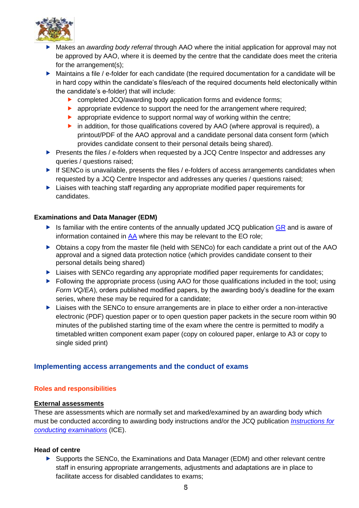

- Makes an *awarding body referral* through AAO where the initial application for approval may not be approved by AAO, where it is deemed by the centre that the candidate does meet the criteria for the arrangement(s):
- Maintains a file / e-folder for each candidate (the required documentation for a candidate will be in hard copy within the candidate's files/each of the required documents held electonically within the candidate's e-folder) that will include:
	- ▶ completed JCQ/awarding body application forms and evidence forms;
	- **D** appropriate evidence to support the need for the arrangement where required;
	- **D** appropriate evidence to support normal way of working within the centre;
	- $\triangleright$  in addition, for those qualifications covered by AAO (where approval is required), a printout/PDF of the AAO approval and a candidate personal data consent form (which provides candidate consent to their personal details being shared).
- Presents the files / e-folders when requested by a JCQ Centre Inspector and addresses any queries / questions raised;
- $\blacktriangleright$  If SENCo is unavailable, presents the files / e-folders of access arrangements candidates when requested by a JCQ Centre Inspector and addresses any queries / questions raised;
- **Liaises with teaching staff regarding any appropriate modified paper requirements for** candidates.

#### **Examinations and Data Manager (EDM)**

- Is familiar with the entire contents of the annually updated JCQ publication  $GR$  and is aware of information contained in [AA](http://www.jcq.org.uk/exams-office/access-arrangements-and-special-consideration/regulations-and-guidance) where this may be relevant to the EO role;
- Obtains a copy from the master file (held with SENCo) for each candidate a print out of the AAO approval and a signed data protection notice (which provides candidate consent to their personal details being shared)
- **Liaises with SENCo regarding any appropriate modified paper requirements for candidates;**
- Following the appropriate process (using AAO for those qualifications included in the tool; using *Form VQ/EA*), orders published modified papers, by the awarding body's deadline for the exam series, where these may be required for a candidate;
- $\blacktriangleright$  Liaises with the SENCo to ensure arrangements are in place to either order a non-interactive electronic (PDF) question paper or to open question paper packets in the secure room within 90 minutes of the published starting time of the exam where the centre is permitted to modify a timetabled written component exam paper (copy on coloured paper, enlarge to A3 or copy to single sided print)

# <span id="page-6-0"></span>**Implementing access arrangements and the conduct of exams**

#### <span id="page-6-1"></span>**Roles and responsibilities**

#### <span id="page-6-2"></span>**External assessments**

These are assessments which are normally set and marked/examined by an awarding body which must be conducted according to awarding body instructions and/or the JCQ publication *[Instructions for](http://www.jcq.org.uk/exams-office/ice---instructions-for-conducting-examinations)  [conducting examinations](http://www.jcq.org.uk/exams-office/ice---instructions-for-conducting-examinations)* (ICE).

#### **Head of centre**

 Supports the SENCo, the Examinations and Data Manager (EDM) and other relevant centre staff in ensuring appropriate arrangements, adjustments and adaptations are in place to facilitate access for disabled candidates to exams;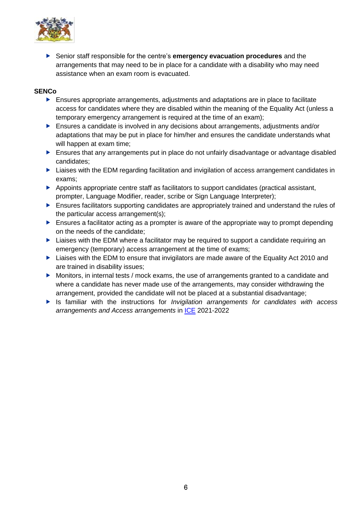

 Senior staff responsible for the centre's **emergency evacuation procedures** and the arrangements that may need to be in place for a candidate with a disability who may need assistance when an exam room is evacuated.

### **SENCo**

- Ensures appropriate arrangements, adjustments and adaptations are in place to facilitate access for candidates where they are disabled within the meaning of the Equality Act (unless a temporary emergency arrangement is required at the time of an exam);
- ▶ Ensures a candidate is involved in any decisions about arrangements, adjustments and/or adaptations that may be put in place for him/her and ensures the candidate understands what will happen at exam time;
- Ensures that any arrangements put in place do not unfairly disadvantage or advantage disabled candidates;
- ► Liaises with the EDM regarding facilitation and invigilation of access arrangement candidates in exams;
- Appoints appropriate centre staff as facilitators to support candidates (practical assistant, prompter, Language Modifier, reader, scribe or Sign Language Interpreter);
- Ensures facilitators supporting candidates are appropriately trained and understand the rules of the particular access arrangement(s);
- $\blacktriangleright$  Ensures a facilitator acting as a prompter is aware of the appropriate way to prompt depending on the needs of the candidate;
- ▶ Liaises with the EDM where a facilitator may be required to support a candidate requiring an emergency (temporary) access arrangement at the time of exams;
- **Liaises with the EDM to ensure that invigilators are made aware of the Equality Act 2010 and** are trained in disability issues;
- Monitors, in internal tests / mock exams, the use of arrangements granted to a candidate and where a candidate has never made use of the arrangements, may consider withdrawing the arrangement, provided the candidate will not be placed at a substantial disadvantage;
- Is familiar with the instructions for *Invigilation arrangements for candidates with access arrangements and Access arrangements* in [ICE](http://www.jcq.org.uk/exams-office/ice---instructions-for-conducting-examinations) 2021-2022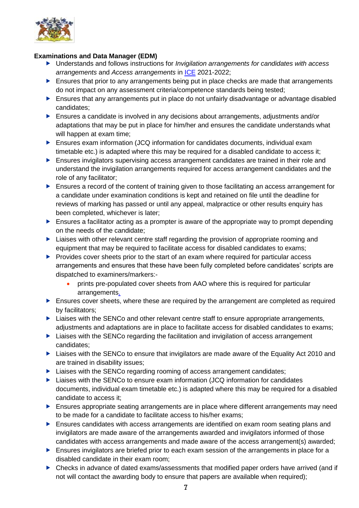

# **Examinations and Data Manager (EDM)**

- Understands and follows instructions for *Invigilation arrangements for candidates with access arrangements* and *Access arrangements* in [ICE](http://www.jcq.org.uk/exams-office/ice---instructions-for-conducting-examinations) 2021-2022;
- Ensures that prior to any arrangements being put in place checks are made that arrangements do not impact on any assessment criteria/competence standards being tested;
- Ensures that any arrangements put in place do not unfairly disadvantage or advantage disabled candidates;
- ▶ Ensures a candidate is involved in any decisions about arrangements, adjustments and/or adaptations that may be put in place for him/her and ensures the candidate understands what will happen at exam time;
- Ensures exam information (JCQ information for candidates documents, individual exam timetable etc.) is adapted where this may be required for a disabled candidate to access it;
- **Ensures invigilators supervising access arrangement candidates are trained in their role and** understand the invigilation arrangements required for access arrangement candidates and the role of any facilitator;
- Ensures a record of the content of training given to those facilitating an access arrangement for a candidate under examination conditions is kept and retained on file until the deadline for reviews of marking has passed or until any appeal, malpractice or other results enquiry has been completed, whichever is later;
- $\blacktriangleright$  Ensures a facilitator acting as a prompter is aware of the appropriate way to prompt depending on the needs of the candidate;
- **Liaises with other relevant centre staff regarding the provision of appropriate rooming and** equipment that may be required to facilitate access for disabled candidates to exams;
- Provides cover sheets prior to the start of an exam where required for particular access arrangements and ensures that these have been fully completed before candidates' scripts are dispatched to examiners/markers:-
	- prints pre-populated cover sheets from AAO where this is required for particular arrangements.
- Ensures cover sheets, where these are required by the arrangement are completed as required by facilitators;
- ▶ Liaises with the SENCo and other relevant centre staff to ensure appropriate arrangements, adjustments and adaptations are in place to facilitate access for disabled candidates to exams;
- ▶ Liaises with the SENCo regarding the facilitation and invigilation of access arrangement candidates;
- ▶ Liaises with the SENCo to ensure that invigilators are made aware of the Equality Act 2010 and are trained in disability issues;
- ▶ Liaises with the SENCo regarding rooming of access arrangement candidates;
- $\blacktriangleright$  Liaises with the SENCo to ensure exam information (JCQ information for candidates documents, individual exam timetable etc.) is adapted where this may be required for a disabled candidate to access it;
- **Ensures appropriate seating arrangements are in place where different arrangements may need** to be made for a candidate to facilitate access to his/her exams;
- Ensures candidates with access arrangements are identified on exam room seating plans and invigilators are made aware of the arrangements awarded and invigilators informed of those candidates with access arrangements and made aware of the access arrangement(s) awarded;
- Ensures invigilators are briefed prior to each exam session of the arrangements in place for a disabled candidate in their exam room;
- Checks in advance of dated exams/assessments that modified paper orders have arrived (and if not will contact the awarding body to ensure that papers are available when required);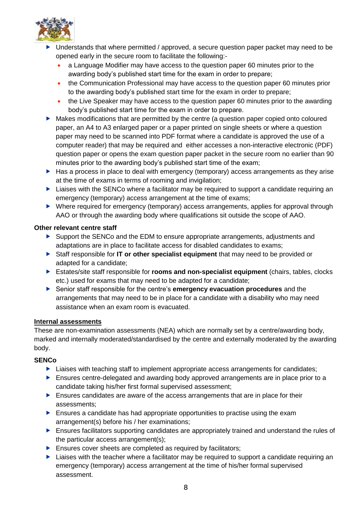

- Understands that where permitted / approved, a secure question paper packet may need to be opened early in the secure room to facilitate the following:-
	- a Language Modifier may have access to the question paper 60 minutes prior to the awarding body's published start time for the exam in order to prepare;
	- the Communication Professional may have access to the question paper 60 minutes prior to the awarding body's published start time for the exam in order to prepare;
	- the Live Speaker may have access to the question paper 60 minutes prior to the awarding body's published start time for the exam in order to prepare.
- Makes modifications that are permitted by the centre (a question paper copied onto coloured paper, an A4 to A3 enlarged paper or a paper printed on single sheets or where a question paper may need to be scanned into PDF format where a candidate is approved the use of a computer reader) that may be required and either accesses a non-interactive electronic (PDF) question paper or opens the exam question paper packet in the secure room no earlier than 90 minutes prior to the awarding body's published start time of the exam;
- Has a process in place to deal with emergency (temporary) access arrangements as they arise at the time of exams in terms of rooming and invigilation;
- $\blacktriangleright$  Liaises with the SENCo where a facilitator may be required to support a candidate requiring an emergency (temporary) access arrangement at the time of exams;
- Where required for emergency (temporary) access arrangements, applies for approval through AAO or through the awarding body where qualifications sit outside the scope of AAO.

# **Other relevant centre staff**

- Support the SENCo and the EDM to ensure appropriate arrangements, adjustments and adaptations are in place to facilitate access for disabled candidates to exams;
- Staff responsible for **IT or other specialist equipment** that may need to be provided or adapted for a candidate;
- Estates/site staff responsible for **rooms and non-specialist equipment** (chairs, tables, clocks etc.) used for exams that may need to be adapted for a candidate;
- Senior staff responsible for the centre's **emergency evacuation procedures** and the arrangements that may need to be in place for a candidate with a disability who may need assistance when an exam room is evacuated.

# <span id="page-9-0"></span>**Internal assessments**

These are non-examination assessments (NEA) which are normally set by a centre/awarding body, marked and internally moderated/standardised by the centre and externally moderated by the awarding body.

#### **SENCo**

- **Liaises with teaching staff to implement appropriate access arrangements for candidates;**
- Ensures centre-delegated and awarding body approved arrangements are in place prior to a candidate taking his/her first formal supervised assessment;
- Ensures candidates are aware of the access arrangements that are in place for their assessments;
- $\blacktriangleright$  Ensures a candidate has had appropriate opportunities to practise using the exam arrangement(s) before his / her examinations;
- **Ensures facilitators supporting candidates are appropriately trained and understand the rules of** the particular access arrangement(s);
- Ensures cover sheets are completed as required by facilitators;
- $\blacktriangleright$  Liaises with the teacher where a facilitator may be required to support a candidate requiring an emergency (temporary) access arrangement at the time of his/her formal supervised assessment.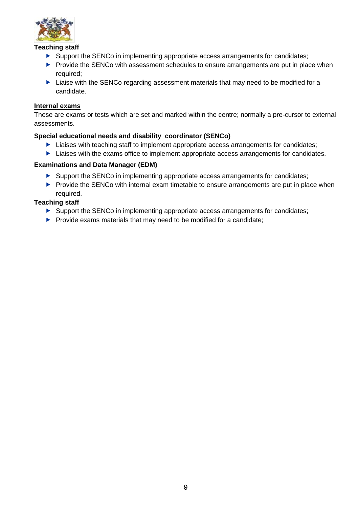

### **Teaching staff**

- Support the SENCo in implementing appropriate access arrangements for candidates;
- Provide the SENCo with assessment schedules to ensure arrangements are put in place when required;
- ▶ Liaise with the SENCo regarding assessment materials that may need to be modified for a candidate.

#### <span id="page-10-0"></span>**Internal exams**

These are exams or tests which are set and marked within the centre; normally a pre-cursor to external assessments.

### **Special educational needs and disability coordinator (SENCo)**

- **Liaises with teaching staff to implement appropriate access arrangements for candidates;**
- **Liaises with the exams office to implement appropriate access arrangements for candidates.**

### **Examinations and Data Manager (EDM)**

- ▶ Support the SENCo in implementing appropriate access arrangements for candidates;
- Provide the SENCo with internal exam timetable to ensure arrangements are put in place when required.

### **Teaching staff**

- ▶ Support the SENCo in implementing appropriate access arrangements for candidates;
- $\blacktriangleright$  Provide exams materials that may need to be modified for a candidate;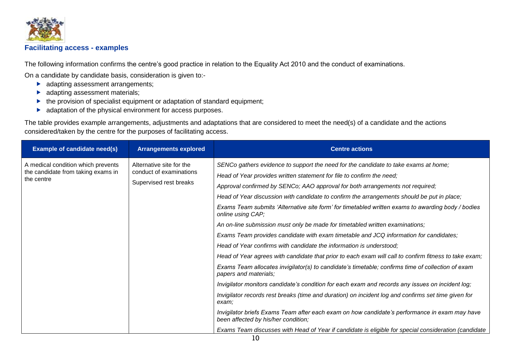

# **Facilitating access - examples**

The following information confirms the centre's good practice in relation to the Equality Act 2010 and the conduct of examinations.

On a candidate by candidate basis, consideration is given to:-

- **adapting assessment arrangements;**
- adapting assessment materials;
- $\blacktriangleright$  the provision of specialist equipment or adaptation of standard equipment;
- **A** adaptation of the physical environment for access purposes.

The table provides example arrangements, adjustments and adaptations that are considered to meet the need(s) of a candidate and the actions considered/taken by the centre for the purposes of facilitating access.

<span id="page-11-0"></span>

| <b>Example of candidate need(s)</b>                                                    | <b>Arrangements explored</b>                        | <b>Centre actions</b>                                                                                                                |
|----------------------------------------------------------------------------------------|-----------------------------------------------------|--------------------------------------------------------------------------------------------------------------------------------------|
| A medical condition which prevents<br>the candidate from taking exams in<br>the centre | Alternative site for the<br>conduct of examinations | SENCo gathers evidence to support the need for the candidate to take exams at home;                                                  |
|                                                                                        |                                                     | Head of Year provides written statement for file to confirm the need;                                                                |
|                                                                                        | Supervised rest breaks                              | Approval confirmed by SENCo; AAO approval for both arrangements not required;                                                        |
|                                                                                        |                                                     | Head of Year discussion with candidate to confirm the arrangements should be put in place;                                           |
|                                                                                        |                                                     | Exams Team submits 'Alternative site form' for timetabled written exams to awarding body / bodies<br>online using CAP;               |
|                                                                                        |                                                     | An on-line submission must only be made for timetabled written examinations;                                                         |
|                                                                                        |                                                     | Exams Team provides candidate with exam timetable and JCQ information for candidates;                                                |
|                                                                                        |                                                     | Head of Year confirms with candidate the information is understood;                                                                  |
|                                                                                        |                                                     | Head of Year agrees with candidate that prior to each exam will call to confirm fitness to take exam;                                |
|                                                                                        |                                                     | Exams Team allocates invigilator(s) to candidate's timetable; confirms time of collection of exam<br>papers and materials;           |
|                                                                                        |                                                     | Invigilator monitors candidate's condition for each exam and records any issues on incident log;                                     |
|                                                                                        |                                                     | Invigilator records rest breaks (time and duration) on incident log and confirms set time given for<br>exam:                         |
|                                                                                        |                                                     | Invigilator briefs Exams Team after each exam on how candidate's performance in exam may have<br>been affected by his/her condition; |
|                                                                                        |                                                     | Exams Team discusses with Head of Year if candidate is eligible for special consideration (candidate                                 |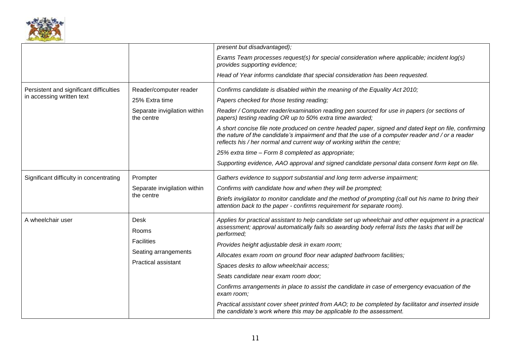

|                                         |                                                    | present but disadvantaged);                                                                                                                                                                                                                                                         |
|-----------------------------------------|----------------------------------------------------|-------------------------------------------------------------------------------------------------------------------------------------------------------------------------------------------------------------------------------------------------------------------------------------|
|                                         |                                                    | Exams Team processes request(s) for special consideration where applicable; incident log(s)<br>provides supporting evidence;                                                                                                                                                        |
|                                         |                                                    | Head of Year informs candidate that special consideration has been requested.                                                                                                                                                                                                       |
| Persistent and significant difficulties | Reader/computer reader                             | Confirms candidate is disabled within the meaning of the Equality Act 2010;                                                                                                                                                                                                         |
| in accessing written text               | 25% Extra time                                     | Papers checked for those testing reading;                                                                                                                                                                                                                                           |
|                                         | Separate invigilation within<br>the centre         | Reader / Computer reader/examination reading pen sourced for use in papers (or sections of<br>papers) testing reading OR up to 50% extra time awarded;                                                                                                                              |
|                                         |                                                    | A short concise file note produced on centre headed paper, signed and dated kept on file, confirming<br>the nature of the candidate's impairment and that the use of a computer reader and / or a reader<br>reflects his / her normal and current way of working within the centre; |
|                                         |                                                    | 25% extra time - Form 8 completed as appropriate;                                                                                                                                                                                                                                   |
|                                         |                                                    | Supporting evidence, AAO approval and signed candidate personal data consent form kept on file.                                                                                                                                                                                     |
| Significant difficulty in concentrating | Prompter                                           | Gathers evidence to support substantial and long term adverse impairment;                                                                                                                                                                                                           |
|                                         | Separate invigilation within<br>the centre         | Confirms with candidate how and when they will be prompted;                                                                                                                                                                                                                         |
|                                         |                                                    | Briefs invigilator to monitor candidate and the method of prompting (call out his name to bring their<br>attention back to the paper - confirms requirement for separate room).                                                                                                     |
| A wheelchair user                       | Desk<br>Rooms                                      | Applies for practical assistant to help candidate set up wheelchair and other equipment in a practical<br>assessment; approval automatically fails so awarding body referral lists the tasks that will be<br>performed;                                                             |
| <b>Facilities</b>                       |                                                    | Provides height adjustable desk in exam room;                                                                                                                                                                                                                                       |
|                                         | Seating arrangements<br><b>Practical assistant</b> | Allocates exam room on ground floor near adapted bathroom facilities;                                                                                                                                                                                                               |
|                                         |                                                    | Spaces desks to allow wheelchair access;                                                                                                                                                                                                                                            |
|                                         |                                                    | Seats candidate near exam room door;                                                                                                                                                                                                                                                |
|                                         |                                                    | Confirms arrangements in place to assist the candidate in case of emergency evacuation of the<br>exam room;                                                                                                                                                                         |
|                                         |                                                    | Practical assistant cover sheet printed from AAO; to be completed by facilitator and inserted inside<br>the candidate's work where this may be applicable to the assessment.                                                                                                        |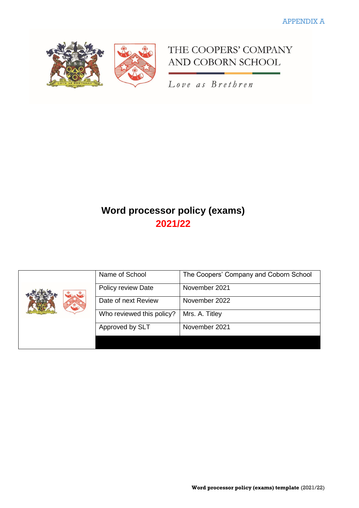

THE COOPERS' COMPANY AND COBORN SCHOOL

Love as Brethren

# **Word processor policy (exams) 2021/22**

| Name of School            | The Coopers' Company and Coborn School |
|---------------------------|----------------------------------------|
| Policy review Date        | November 2021                          |
| Date of next Review       | November 2022                          |
| Who reviewed this policy? | Mrs. A. Titley                         |
| Approved by SLT           | November 2021                          |
|                           |                                        |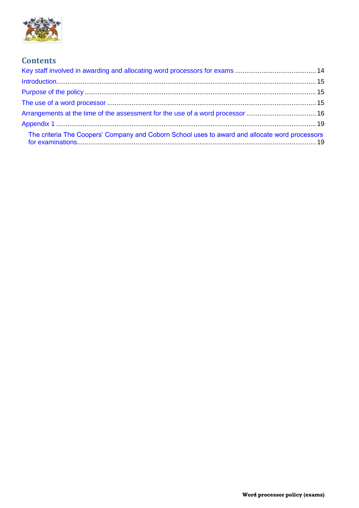

# **Contents**

| The criteria The Coopers' Company and Coborn School uses to award and allocate word processors |  |
|------------------------------------------------------------------------------------------------|--|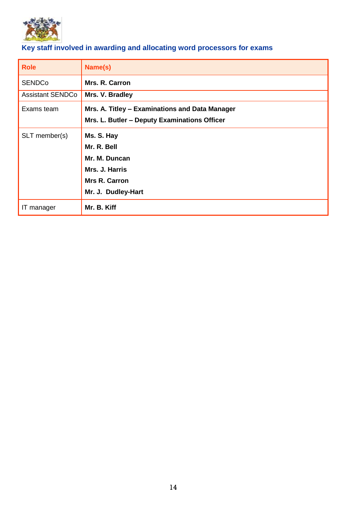

# <span id="page-15-0"></span>**Key staff involved in awarding and allocating word processors for exams**

| <b>Role</b>             | Name(s)                                                                                        |
|-------------------------|------------------------------------------------------------------------------------------------|
| <b>SENDCo</b>           | Mrs. R. Carron                                                                                 |
| <b>Assistant SENDCo</b> | Mrs. V. Bradley                                                                                |
| Exams team              | Mrs. A. Titley - Examinations and Data Manager<br>Mrs. L. Butler - Deputy Examinations Officer |
|                         |                                                                                                |
| SLT member(s)           | Ms. S. Hay                                                                                     |
|                         | Mr. R. Bell                                                                                    |
|                         | Mr. M. Duncan                                                                                  |
|                         | Mrs. J. Harris                                                                                 |
|                         | <b>Mrs R. Carron</b>                                                                           |
|                         | Mr. J. Dudley-Hart                                                                             |
| IT manager              | Mr. B. Kiff                                                                                    |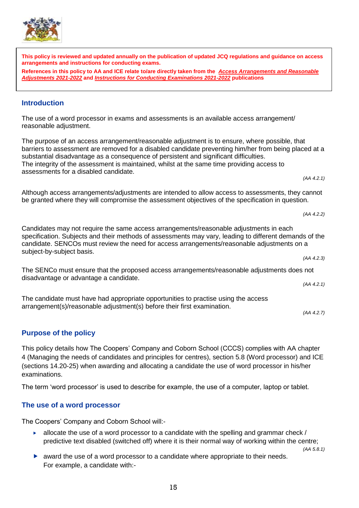**arrangements and instructions for conducting exams.** 

 $\overline{a}$ 

*(AA 4.2.1) (AA 4.2.2) (AA 4.2.3) (AA 4.2.1) (AA 4.2.7)* **Purpose of the policy**

<span id="page-16-1"></span>This policy details how The Coopers' Company and Coborn School (CCCS) complies with AA chapter 4 (Managing the needs of candidates and principles for centres), section 5.8 (Word processor) and ICE (sections 14.20-25) when awarding and allocating a candidate the use of word processor in his/her examinations.

The term 'word processor' is used to describe for example, the use of a computer, laptop or tablet.

# <span id="page-16-2"></span>**The use of a word processor**

The Coopers' Company and Coborn School will:-

- $\blacktriangleright$  allocate the use of a word processor to a candidate with the spelling and grammar check / predictive text disabled (switched off) where it is their normal way of working within the centre;
	- *(AA 5.8.1)*
- award the use of a word processor to a candidate where appropriate to their needs. For example, a candidate with:-

# <span id="page-16-0"></span>**Introduction**

The use of a word processor in exams and assessments is an available access arrangement/ reasonable adjustment.

*[Adjustments 2021-2022](http://www.jcq.org.uk/exams-office/access-arrangements-and-special-consideration/regulations-and-guidance)* **and** *[Instructions for Conducting Examinations 2021-2022](http://www.jcq.org.uk/exams-office/ice---instructions-for-conducting-examinations)* **publications**

The purpose of an access arrangement/reasonable adjustment is to ensure, where possible, that barriers to assessment are removed for a disabled candidate preventing him/her from being placed at a substantial disadvantage as a consequence of persistent and significant difficulties. The integrity of the assessment is maintained, whilst at the same time providing access to assessments for a disabled candidate.

**This policy is reviewed and updated annually on the publication of updated JCQ regulations and guidance on access** 

**References in this policy to AA and ICE relate to/are directly taken from the** *[Access Arrangements and Reasonable](http://www.jcq.org.uk/exams-office/access-arrangements-and-special-consideration/regulations-and-guidance)* 

Although access arrangements/adjustments are intended to allow access to assessments, they cannot be granted where they will compromise the assessment objectives of the specification in question.

Candidates may not require the same access arrangements/reasonable adjustments in each specification. Subjects and their methods of assessments may vary, leading to different demands of the candidate. SENCOs must review the need for access arrangements/reasonable adjustments on a subject-by-subject basis.

The SENCo must ensure that the proposed access arrangements/reasonable adjustments does not disadvantage or advantage a candidate.

The candidate must have had appropriate opportunities to practise using the access arrangement(s)/reasonable adjustment(s) before their first examination.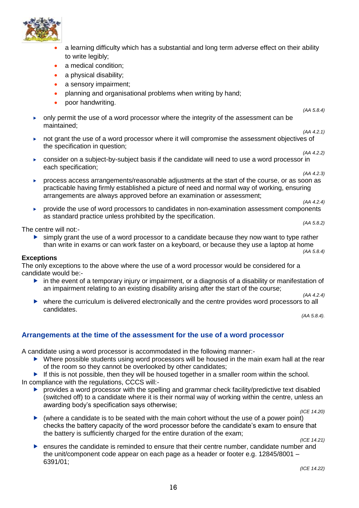

- a learning difficulty which has a substantial and long term adverse effect on their ability to write legibly;
- a medical condition:
- a physical disability;
- a sensory impairment;
- planning and organisational problems when writing by hand;
- poor handwriting.
- only permit the use of a word processor where the integrity of the assessment can be maintained;
- *(AA 4.2.1)* not grant the use of a word processor where it will compromise the assessment objectives of the specification in question;
- *(AA 4.2.2)*   $\triangleright$  consider on a subject-by-subject basis if the candidate will need to use a word processor in each specification;
- *(AA 4.2.3)* process access arrangements/reasonable adjustments at the start of the course, or as soon as practicable having firmly established a picture of need and normal way of working, ensuring arrangements are always approved before an examination or assessment; *(AA 4.2.4)*
- provide the use of word processors to candidates in non-examination assessment components as standard practice unless prohibited by the specification. *(AA 5.8.2)*

The centre will not:-

 $\triangleright$  simply grant the use of a word processor to a candidate because they now want to type rather than write in exams or can work faster on a keyboard, or because they use a laptop at home *(AA 5.8.4)* 

#### **Exceptions**

The only exceptions to the above where the use of a word processor would be considered for a candidate would be:-

- in the event of a temporary injury or impairment, or a diagnosis of a disability or manifestation of an impairment relating to an existing disability arising after the start of the course; *(AA 4.2.4)*
- where the curriculum is delivered electronically and the centre provides word processors to all candidates.

*(AA 5.8.4).*

*(AA 5.8.4)*

# <span id="page-17-0"></span>**Arrangements at the time of the assessment for the use of a word processor**

A candidate using a word processor is accommodated in the following manner:-

- ▶ Where possible students using word processors will be housed in the main exam hall at the rear of the room so they cannot be overlooked by other candidates;
- If this is not possible, then they will be housed together in a smaller room within the school. In compliance with the regulations, CCCS will:-
	- **P** provides a word processor with the spelling and grammar check facility/predictive text disabled (switched off) to a candidate where it is their normal way of working within the centre, unless an awarding body's specification says otherwise;

*(ICE 14.20)*

 $\triangleright$  (where a candidate is to be seated with the main cohort without the use of a power point) checks the battery capacity of the word processor before the candidate's exam to ensure that the battery is sufficiently charged for the entire duration of the exam;

*(ICE 14.21)*

 ensures the candidate is reminded to ensure that their centre number, candidate number and the unit/component code appear on each page as a header or footer e.g. 12845/8001 – 6391/01;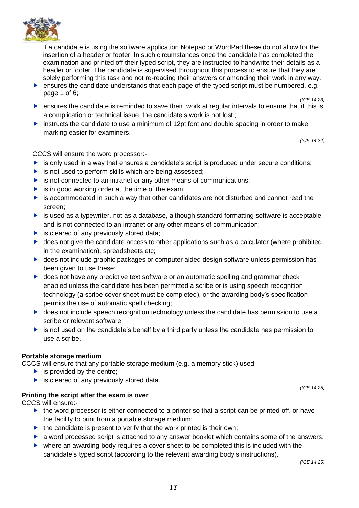

If a candidate is using the software application Notepad or WordPad these do not allow for the insertion of a header or footer. In such circumstances once the candidate has completed the examination and printed off their typed script, they are instructed to handwrite their details as a header or footer. The candidate is supervised throughout this process to ensure that they are solely performing this task and not re-reading their answers or amending their work in any way.

- **EXECUTE:** ensures the candidate understands that each page of the typed script must be numbered, e.g. page 1 of 6; *(ICE 14.23)*
- $\blacktriangleright$  ensures the candidate is reminded to save their work at regular intervals to ensure that if this is a complication or technical issue, the candidate's work is not lost ;
- instructs the candidate to use a minimum of 12pt font and double spacing in order to make marking easier for examiners.

*(ICE 14.24)*

CCCS will ensure the word processor:-

- $\triangleright$  is only used in a way that ensures a candidate's script is produced under secure conditions;
- $\triangleright$  is not used to perform skills which are being assessed;
- $\triangleright$  is not connected to an intranet or any other means of communications;
- $\triangleright$  is in good working order at the time of the exam:
- $\triangleright$  is accommodated in such a way that other candidates are not disturbed and cannot read the screen;
- $\triangleright$  is used as a typewriter, not as a database, although standard formatting software is acceptable and is not connected to an intranet or any other means of communication;
- $\blacktriangleright$  is cleared of any previously stored data;
- $\triangleright$  does not give the candidate access to other applications such as a calculator (where prohibited in the examination), spreadsheets etc;
- ▶ does not include graphic packages or computer aided design software unless permission has been given to use these;
- **L** does not have any predictive text software or an automatic spelling and grammar check enabled unless the candidate has been permitted a scribe or is using speech recognition technology (a scribe cover sheet must be completed), or the awarding body's specification permits the use of automatic spell checking;
- **b** does not include speech recognition technology unless the candidate has permission to use a scribe or relevant software;
- $\triangleright$  is not used on the candidate's behalf by a third party unless the candidate has permission to use a scribe.

#### **Portable storage medium**

CCCS will ensure that any portable storage medium (e.g. a memory stick) used:-

- $\blacktriangleright$  is provided by the centre;
- $\blacktriangleright$  is cleared of any previously stored data.

# **Printing the script after the exam is over**

CCCS will ensure:-

- $\blacktriangleright$  the word processor is either connected to a printer so that a script can be printed off, or have the facility to print from a portable storage medium;
- $\blacktriangleright$  the candidate is present to verify that the work printed is their own:
- **a** word processed script is attached to any answer booklet which contains some of the answers;
- $\triangleright$  where an awarding body requires a cover sheet to be completed this is included with the candidate's typed script (according to the relevant awarding body's instructions).

*(ICE 14.25)*

*(ICE 14.25)*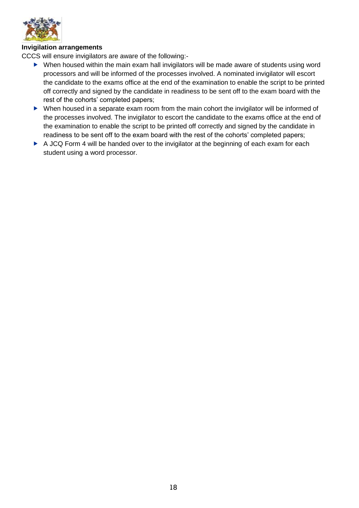

#### **Invigilation arrangements**

CCCS will ensure invigilators are aware of the following:-

- ▶ When housed within the main exam hall invigilators will be made aware of students using word processors and will be informed of the processes involved. A nominated invigilator will escort the candidate to the exams office at the end of the examination to enable the script to be printed off correctly and signed by the candidate in readiness to be sent off to the exam board with the rest of the cohorts' completed papers;
- When housed in a separate exam room from the main cohort the invigilator will be informed of the processes involved. The invigilator to escort the candidate to the exams office at the end of the examination to enable the script to be printed off correctly and signed by the candidate in readiness to be sent off to the exam board with the rest of the cohorts' completed papers;
- A JCQ Form 4 will be handed over to the invigilator at the beginning of each exam for each student using a word processor.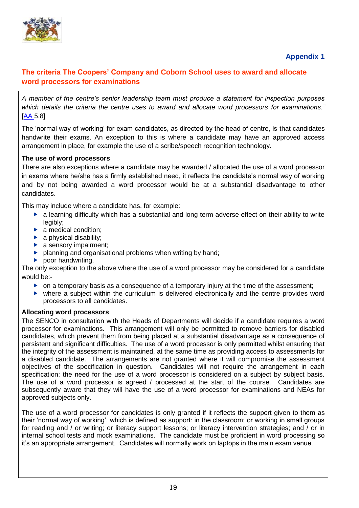

# **Appendix 1**

# <span id="page-20-1"></span><span id="page-20-0"></span>**The criteria The Coopers' Company and Coborn School uses to award and allocate word processors for examinations**

*A member of the centre's senior leadership team must produce a statement for inspection purposes which details the criteria the centre uses to award and allocate word processors for examinations."*  [\[AA](http://www.jcq.org.uk/exams-office/access-arrangements-and-special-consideration) 5.8]

The 'normal way of working' for exam candidates, as directed by the head of centre, is that candidates handwrite their exams. An exception to this is where a candidate may have an approved access arrangement in place, for example the use of a scribe/speech recognition technology.

# **The use of word processors**

There are also exceptions where a candidate may be awarded / allocated the use of a word processor in exams where he/she has a firmly established need, it reflects the candidate's normal way of working and by not being awarded a word processor would be at a substantial disadvantage to other candidates.

This may include where a candidate has, for example:

- a learning difficulty which has a substantial and long term adverse effect on their ability to write legibly;
- $\blacktriangleright$  a medical condition:
- $\blacktriangleright$  a physical disability:
- $\blacktriangleright$  a sensory impairment;
- **P** planning and organisational problems when writing by hand;
- $\blacktriangleright$  poor handwriting.

The only exception to the above where the use of a word processor may be considered for a candidate would be:-

- $\triangleright$  on a temporary basis as a consequence of a temporary injury at the time of the assessment;
- where a subject within the curriculum is delivered electronically and the centre provides word processors to all candidates.

#### **Allocating word processors**

The SENCO in consultation with the Heads of Departments will decide if a candidate requires a word processor for examinations. This arrangement will only be permitted to remove barriers for disabled candidates, which prevent them from being placed at a substantial disadvantage as a consequence of persistent and significant difficulties. The use of a word processor is only permitted whilst ensuring that the integrity of the assessment is maintained, at the same time as providing access to assessments for a disabled candidate. The arrangements are not granted where it will compromise the assessment objectives of the specification in question. Candidates will not require the arrangement in each specification; the need for the use of a word processor is considered on a subject by subject basis. The use of a word processor is agreed / processed at the start of the course. Candidates are subsequently aware that they will have the use of a word processor for examinations and NEAs for approved subjects only.

The use of a word processor for candidates is only granted if it reflects the support given to them as their 'normal way of working', which is defined as support: in the classroom; or working in small groups for reading and / or writing; or literacy support lessons; or literacy intervention strategies; and / or in internal school tests and mock examinations. The candidate must be proficient in word processing so it's an appropriate arrangement. Candidates will normally work on laptops in the main exam venue.